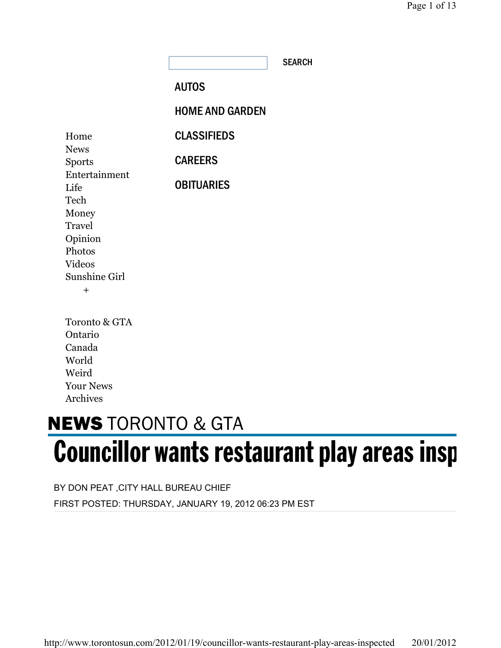**SEARCH** 

# AUTOS

HOME AND GARDEN

| Home                  | <b>CLASSIFIEDS</b> |
|-----------------------|--------------------|
| <b>News</b>           |                    |
| <b>Sports</b>         | <b>CAREERS</b>     |
| Entertainment<br>Life | <b>OBITUARIES</b>  |
| Tech                  |                    |
| Money                 |                    |
| Travel                |                    |
| Opinion               |                    |
| Photos                |                    |
| <b>Videos</b>         |                    |
| Sunshine Girl         |                    |
| $\boldsymbol{+}$      |                    |
|                       |                    |

| Toronto & GTA    |
|------------------|
| Ontario          |
| Canada           |
| World            |
| Weird            |
| <b>Your News</b> |
| <b>Archives</b>  |

# **NEWS** TORONTO & GTA Councillor wants restaurant play areas insp

BY DON PEAT ,CITY HALL BUREAU CHIEF FIRST POSTED: THURSDAY, JANUARY 19, 2012 06:23 PM EST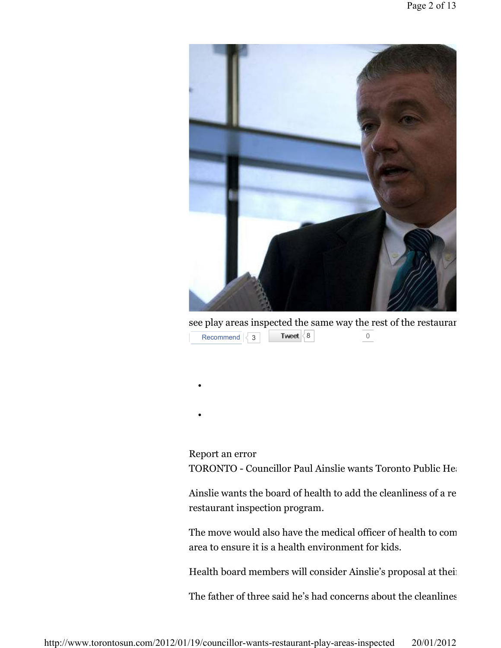

see play areas inspected the same way the rest of the restaurar 8 0  $Recommend$   $\leq 3$ 

Report an error

•

•

TORONTO - Councillor Paul Ainslie wants Toronto Public Health

Ainslie wants the board of health to add the cleanliness of a re restaurant inspection program.

The move would also have the medical officer of health to come area to ensure it is a health environment for kids.

Health board members will consider Ainslie's proposal at their

The father of three said he's had concerns about the cleanlines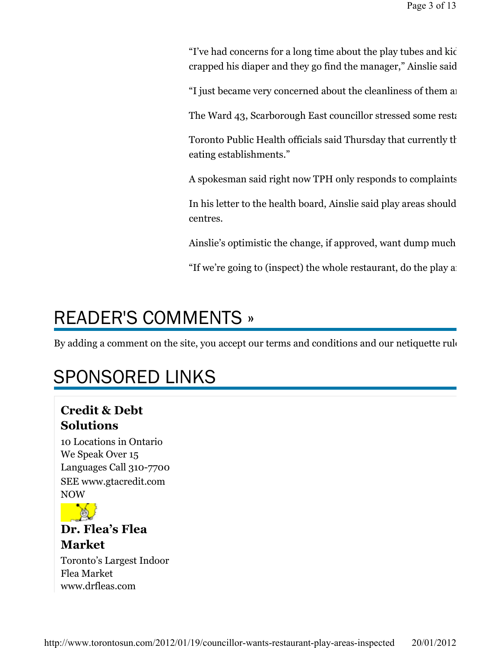"I've had concerns for a long time about the play tubes and kids going in and a while someone comes out and say crapped his diaper and they go find the manager," Ainslie said.

"I just became very concerned about the cleanliness of them and

The Ward 43, Scarborough East councillor stressed some restaurants of the Ward 43, Scarborough East councillor

Toronto Public Health officials said Thursday that currently the eating establishments."

A spokesman said right now TPH only responds to complaints.

In his letter to the health board, Ainslie said play areas should centres.

Ainslie's optimistic the change, if approved, want dump much

"If we're going to (inspect) the whole restaurant, do the play as

# READER'S COMMENTS »

By adding a comment on the site, you accept our terms and conditions and our netiquette rule

# SPONSORED LINKS

# Credit & Debt Solutions

10 Locations in Ontario We Speak Over 15 Languages Call 310-7700 SEE www.gtacredit.com NOW



Dr. Flea's Flea Market

Toronto's Largest Indoor Flea Market www.drfleas.com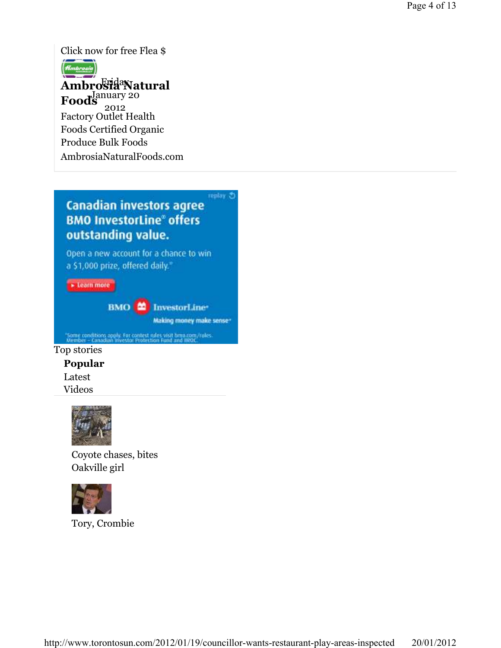Click now for free Flea \$



### Ambro<sup>Frida</sup>Natural Foods<sup>January 20</sup> Factory Outlet Health Foods Certified Organic Produce Bulk Foods 2012

AmbrosiaNaturalFoods.com

# replay 3 **Canadian investors agree BMO InvestorLine® offers** outstanding value.

Open a new account for a chance to win a \$1,000 prize, offered daily."

» Learn more

BMO **22** InvestorLine\*

Making money make sense\*

'Some conditions apply. For contest rules visit timo.com/rules.<br>Member - Canadian Investor Protection Fund and IROC.

### Top stories

Popular

Latest Videos



Coyote chases, bites Oakville girl



Tory, Crombie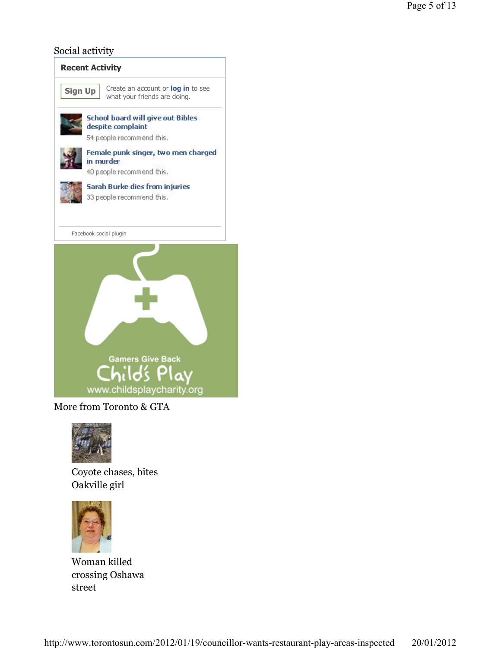### Social activity



More from Toronto & GTA



Coyote chases, bites Oakville girl



Woman killed crossing Oshawa street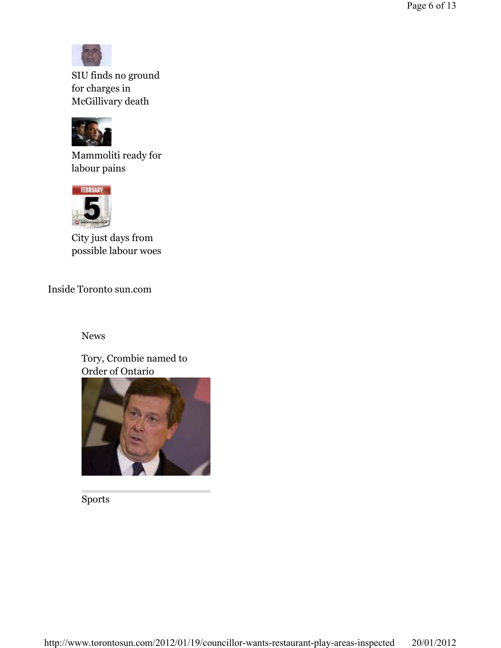

SIU finds no ground for charges in McGillivary death



Mammoliti ready for labour pains



City just days from possible labour woes

Inside Toronto sun.com

News

Tory, Crombie named to Order of Ontario



Sports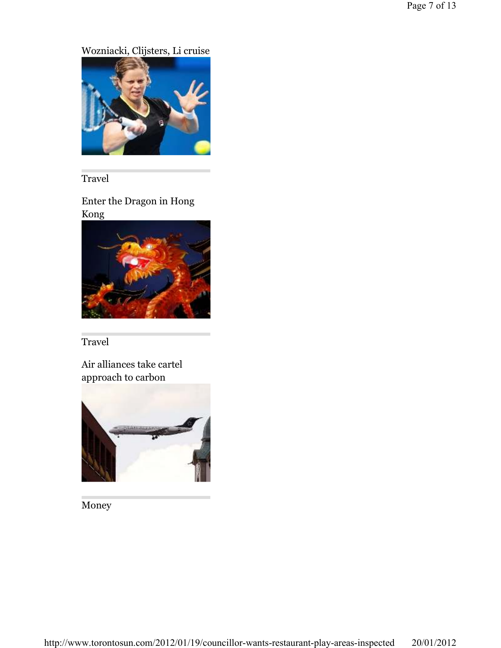# Wozniacki, Clijsters, Li cruise

![](_page_6_Picture_2.jpeg)

Travel

Enter the Dragon in Hong Kong

![](_page_6_Picture_5.jpeg)

Travel

Air alliances take cartel approach to carbon

![](_page_6_Picture_8.jpeg)

Money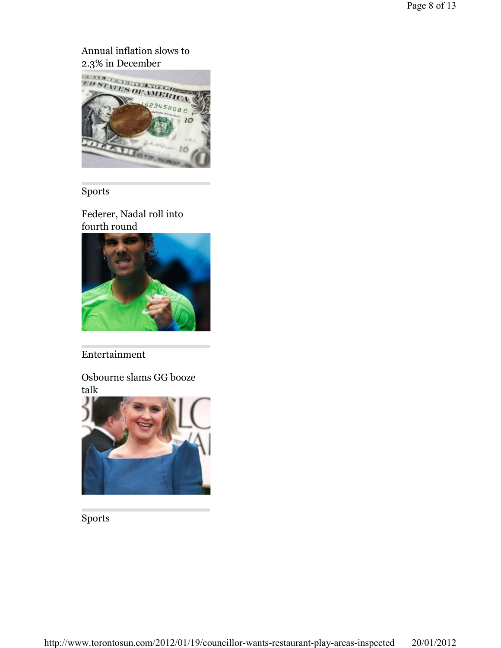# Annual inflation slows to

![](_page_7_Picture_2.jpeg)

## Sports

Federer, Nadal roll into fourth round

![](_page_7_Picture_5.jpeg)

## Entertainment

Osbourne slams GG booze talk

![](_page_7_Picture_8.jpeg)

Sports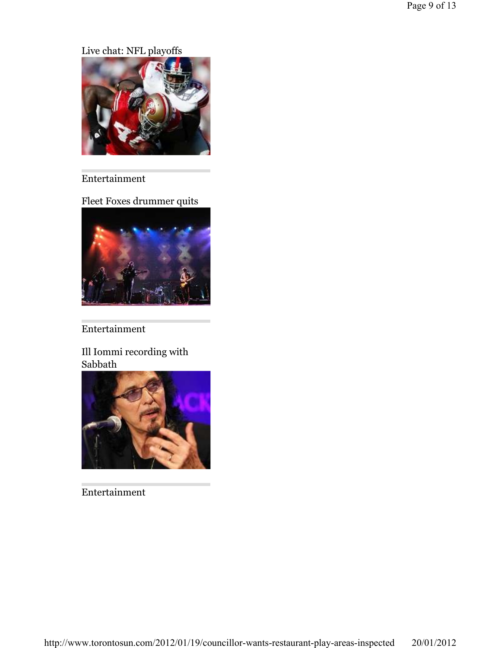Live chat: NFL playoffs

![](_page_8_Picture_2.jpeg)

# Entertainment

Fleet Foxes drummer quits

![](_page_8_Picture_5.jpeg)

# Entertainment

Ill Iommi recording with Sabbath

![](_page_8_Picture_8.jpeg)

Entertainment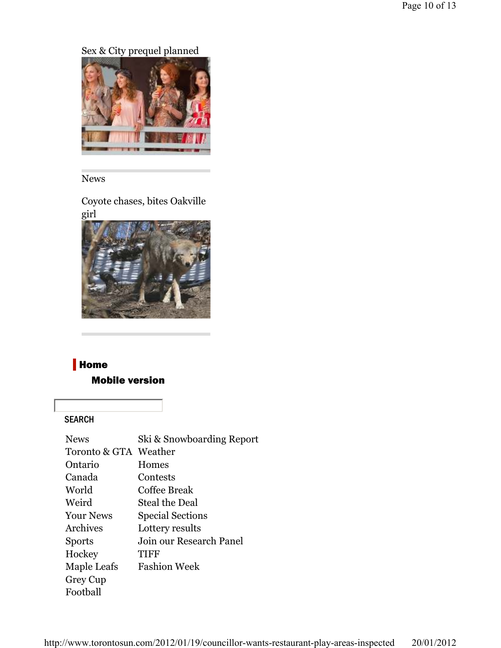Sex & City prequel planned

![](_page_9_Picture_2.jpeg)

### News

Coyote chases, bites Oakville girl

![](_page_9_Picture_5.jpeg)

# **Home**

### Mobile version

### SEARCH

| <b>News</b>           | Ski & Snowboarding Report |
|-----------------------|---------------------------|
| Toronto & GTA Weather |                           |
| Ontario               | Homes                     |
| Canada                | Contests                  |
| World                 | Coffee Break              |
| Weird                 | Steal the Deal            |
| <b>Your News</b>      | <b>Special Sections</b>   |
| Archives              | Lottery results           |
| <b>Sports</b>         | Join our Research Panel   |
| Hockey                | TIFF                      |
| Maple Leafs           | <b>Fashion Week</b>       |
| Grey Cup              |                           |
| Football              |                           |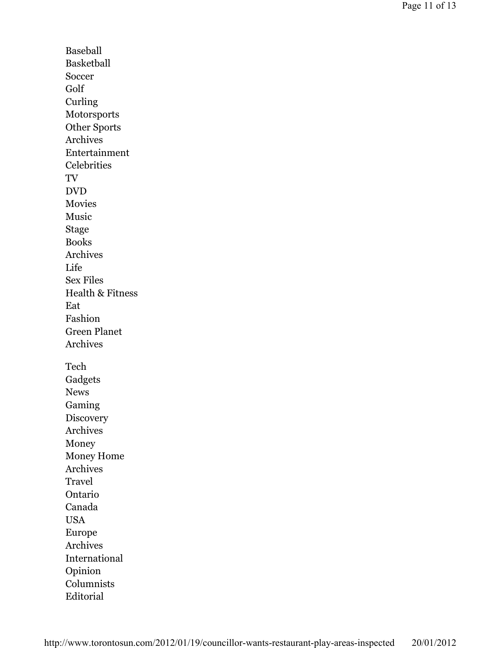Baseball Basketball Soccer Golf Curling Motorsports Other Sports Archives Entertainment **Celebrities** TV DVD Movies Music Stage Books Archives Life Sex Files Health & Fitness Eat Fashion Green Planet Archives Tech Gadgets News Gaming **Discovery** Archives Money Money Home Archives Travel Ontario Canada USA Europe Archives International Opinion Columnists Editorial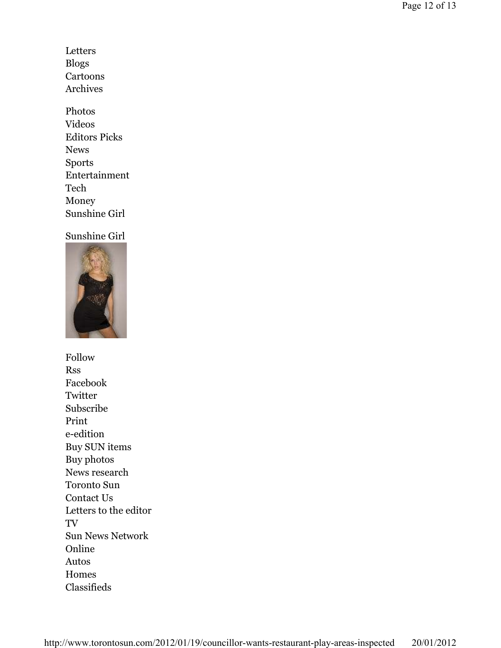- Letters Blogs Cartoons Archives
- Photos Videos Editors Picks News Sports Entertainment Tech Money Sunshine Girl

#### Sunshine Girl

![](_page_11_Picture_4.jpeg)

Follow Rss Facebook **Twitter** Subscribe Print e-edition Buy SUN items Buy photos News research Toronto Sun Contact Us Letters to the editor TV Sun News Network Online Autos Homes Classifieds